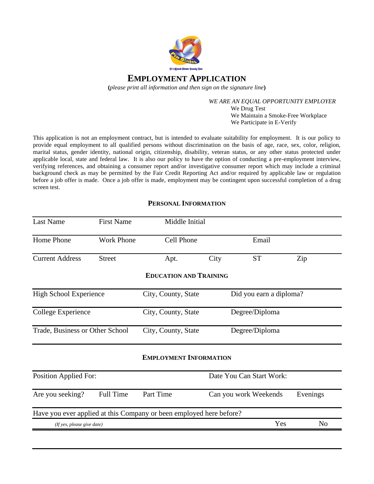

**EMPLOYMENT APPLICATION**

**(***please print all information and then sign on the signature line***)**

*WE ARE AN EQUAL OPPORTUNITY EMPLOYER* We Drug Test We Maintain a Smoke-Free Workplace We Participate in E-Verify

This application is not an employment contract, but is intended to evaluate suitability for employment. It is our policy to provide equal employment to all qualified persons without discrimination on the basis of age, race, sex, color, religion, marital status, gender identity, national origin, citizenship, disability, veteran status, or any other status protected under applicable local, state and federal law. It is also our policy to have the option of conducting a pre-employment interview, verifying references, and obtaining a consumer report and/or investigative consumer report which may include a criminal background check as may be permitted by the Fair Credit Reporting Act and/or required by applicable law or regulation before a job offer is made. Once a job offer is made, employment may be contingent upon successful completion of a drug screen test.

# **PERSONAL INFORMATION**

| <b>Last Name</b>                | <b>First Name</b> | Middle Initial                                                      |                         |                          |                |
|---------------------------------|-------------------|---------------------------------------------------------------------|-------------------------|--------------------------|----------------|
| Home Phone                      | <b>Work Phone</b> | Cell Phone                                                          |                         | Email                    |                |
| <b>Current Address</b>          | <b>Street</b>     | Apt.                                                                | City                    | <b>ST</b>                | Zip            |
|                                 |                   | <b>EDUCATION AND TRAINING</b>                                       |                         |                          |                |
| <b>High School Experience</b>   |                   | City, County, State                                                 | Did you earn a diploma? |                          |                |
| College Experience              |                   | City, County, State                                                 | Degree/Diploma          |                          |                |
| Trade, Business or Other School |                   | City, County, State                                                 | Degree/Diploma          |                          |                |
|                                 |                   | <b>EMPLOYMENT INFORMATION</b>                                       |                         |                          |                |
| <b>Position Applied For:</b>    |                   |                                                                     |                         | Date You Can Start Work: |                |
| Are you seeking?                | Full Time         | Part Time                                                           | Can you work Weekends   |                          | Evenings       |
|                                 |                   | Have you ever applied at this Company or been employed here before? |                         |                          |                |
| (If yes, please give date)      |                   |                                                                     |                         | Yes                      | N <sub>o</sub> |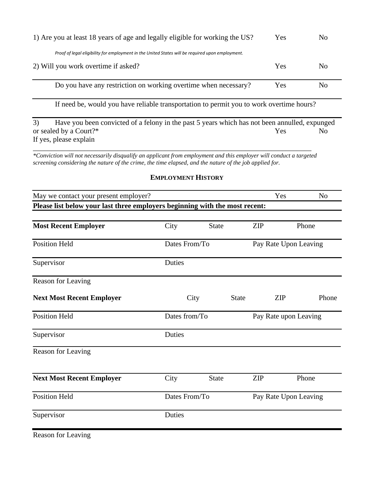| 1) Are you at least 18 years of age and legally eligible for working the US?                     | Yes | N <sub>0</sub> |
|--------------------------------------------------------------------------------------------------|-----|----------------|
| Proof of legal eligibility for employment in the United States will be required upon employment. |     |                |
| 2) Will you work overtime if asked?                                                              | Yes | No             |
| Do you have any restriction on working overtime when necessary?                                  | Yes | No             |
| If need be, would you have reliable transportation to permit you to work overtime hours?         |     |                |

3) Have you been convicted of a felony in the past 5 years which has not been annulled, expunged or sealed by a Court?\* No If yes, please explain

\_\_\_\_\_\_\_\_\_\_\_\_\_\_\_\_\_\_\_\_\_\_\_\_\_\_\_\_\_\_\_\_\_\_\_\_\_\_\_\_\_\_\_\_\_\_\_\_\_\_\_\_\_\_\_\_\_\_\_\_\_\_\_\_\_\_\_\_\_\_\_\_\_\_\_\_ *\*Conviction will not necessarily disqualify an applicant from employment and this employer will conduct a targeted screening considering the nature of the crime, the time elapsed, and the nature of the job applied for.*

## **EMPLOYMENT HISTORY**

| May we contact your present employer?                                       |               |              |                       |            | Yes   | N <sub>o</sub> |
|-----------------------------------------------------------------------------|---------------|--------------|-----------------------|------------|-------|----------------|
| Please list below your last three employers beginning with the most recent: |               |              |                       |            |       |                |
|                                                                             |               |              |                       |            |       |                |
| <b>Most Recent Employer</b>                                                 | City          | <b>State</b> |                       | <b>ZIP</b> | Phone |                |
| <b>Position Held</b>                                                        | Dates From/To |              | Pay Rate Upon Leaving |            |       |                |
| Supervisor                                                                  | Duties        |              |                       |            |       |                |
| Reason for Leaving                                                          |               |              |                       |            |       |                |
| <b>Next Most Recent Employer</b>                                            |               | City         | <b>State</b>          | <b>ZIP</b> |       | Phone          |
| <b>Position Held</b>                                                        | Dates from/To |              | Pay Rate upon Leaving |            |       |                |
| Supervisor                                                                  | Duties        |              |                       |            |       |                |
| Reason for Leaving                                                          |               |              |                       |            |       |                |
| <b>Next Most Recent Employer</b>                                            | City          | <b>State</b> |                       | <b>ZIP</b> | Phone |                |
| <b>Position Held</b>                                                        | Dates From/To |              | Pay Rate Upon Leaving |            |       |                |
| Supervisor                                                                  | Duties        |              |                       |            |       |                |
| <b>Reason for Leaving</b>                                                   |               |              |                       |            |       |                |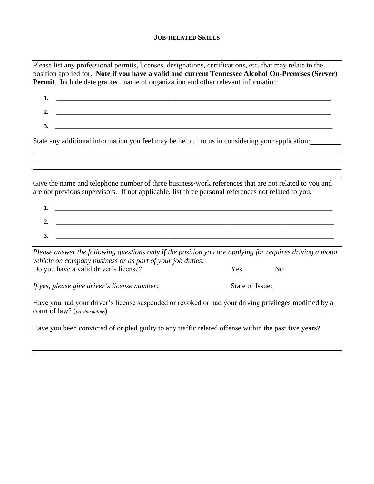### **JOB-RELATED SKILLS**

Please list any professional permits, licenses, designations, certifications, etc. that may relate to the position applied for. **Note if you have a valid and current Tennessee Alcohol On-Premises (Server) Permit**. Include date granted, name of organization and other relevant information:

| 1.                                                                                                                                                                                                          |                       |
|-------------------------------------------------------------------------------------------------------------------------------------------------------------------------------------------------------------|-----------------------|
| 2.                                                                                                                                                                                                          |                       |
| 3.<br><u> 2008 - 2008 - 2008 - 2008 - 2008 - 2008 - 2008 - 2008 - 2008 - 2008 - 2008 - 2008 - 2008 - 2008 - 2008 - 200</u>                                                                                  |                       |
| State any additional information you feel may be helpful to us in considering your application:                                                                                                             |                       |
| ,我们也不会有什么?""我们的人,我们也不会有什么?""我们的人,我们也不会有什么?""我们的人,我们也不会有什么?""我们的人,我们也不会有什么?""我们的人<br>,我们也不会有什么?""我们的人,我们也不会有什么?""我们的人,我们也不会有什么?""我们的人,我们也不会有什么?""我们的人,我们也不会有什么?""我们的人                                        |                       |
| Give the name and telephone number of three business/work references that are not related to you and<br>are not previous supervisors. If not applicable, list three personal references not related to you. |                       |
| 1.                                                                                                                                                                                                          |                       |
| 2.                                                                                                                                                                                                          |                       |
| <u> 1989 - Johann John Stein, marwolaethau (b. 1989)</u><br>3.                                                                                                                                              |                       |
| Please answer the following questions only if the position you are applying for requires driving a motor<br>vehicle on company business or as part of your job duties:                                      |                       |
| Do you have a valid driver's license?                                                                                                                                                                       | Yes<br>N <sub>0</sub> |
| If yes, please give driver's license number:                                                                                                                                                                | State of Issue:       |

Have you had your driver's license suspended or revoked or had your driving privileges modified by a court of law? (*provide details*) \_\_\_\_\_\_\_\_\_\_\_\_\_\_\_\_\_\_\_\_\_\_\_\_\_\_\_\_\_\_\_\_\_\_\_\_\_\_\_\_\_\_\_\_\_\_\_\_\_\_\_\_\_\_\_\_\_\_\_

Have you been convicted of or pled guilty to any traffic related offense within the past five years?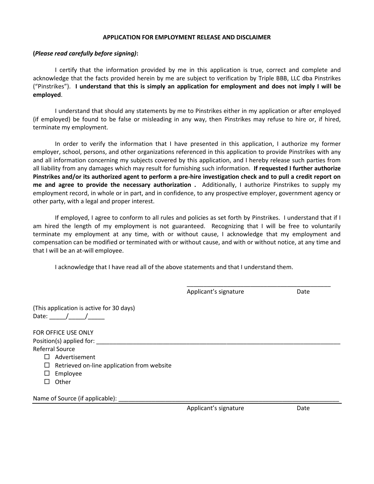#### **APPLICATION FOR EMPLOYMENT RELEASE AND DISCLAIMER**

#### **(***Please read carefully before signing)***:**

I certify that the information provided by me in this application is true, correct and complete and acknowledge that the facts provided herein by me are subject to verification by Triple BBB, LLC dba Pinstrikes ("Pinstrikes"). **I understand that this is simply an application for employment and does not imply I will be employed**.

I understand that should any statements by me to Pinstrikes either in my application or after employed (if employed) be found to be false or misleading in any way, then Pinstrikes may refuse to hire or, if hired, terminate my employment.

In order to verify the information that I have presented in this application, I authorize my former employer, school, persons, and other organizations referenced in this application to provide Pinstrikes with any and all information concerning my subjects covered by this application, and I hereby release such parties from all liability from any damages which may result for furnishing such information. **If requested I further authorize Pinstrikes and/or its authorized agent to perform a pre-hire investigation check and to pull a credit report on me and agree to provide the necessary authorization .** Additionally, I authorize Pinstrikes to supply my employment record, in whole or in part, and in confidence, to any prospective employer, government agency or other party, with a legal and proper interest.

If employed, I agree to conform to all rules and policies as set forth by Pinstrikes. I understand that if I am hired the length of my employment is not guaranteed. Recognizing that I will be free to voluntarily terminate my employment at any time, with or without cause, I acknowledge that my employment and compensation can be modified or terminated with or without cause, and with or without notice, at any time and that I will be an at-will employee.

I acknowledge that I have read all of the above statements and that I understand them.

Applicant's signature Date

\_\_\_\_\_\_\_\_\_\_\_\_\_\_\_\_\_\_\_\_\_\_\_\_\_\_\_\_\_\_\_\_\_\_\_\_\_\_\_\_\_\_\_

(This application is active for 30 days) Date:  $\frac{1}{\sqrt{2\pi}}$ 

FOR OFFICE USE ONLY Position(s) applied for: Referral Source

Advertisement

 $\Box$  Retrieved on-line application from website

 $\square$  Employee

 $\square$  Other

Name of Source (if applicable):

Applicant's signature Date